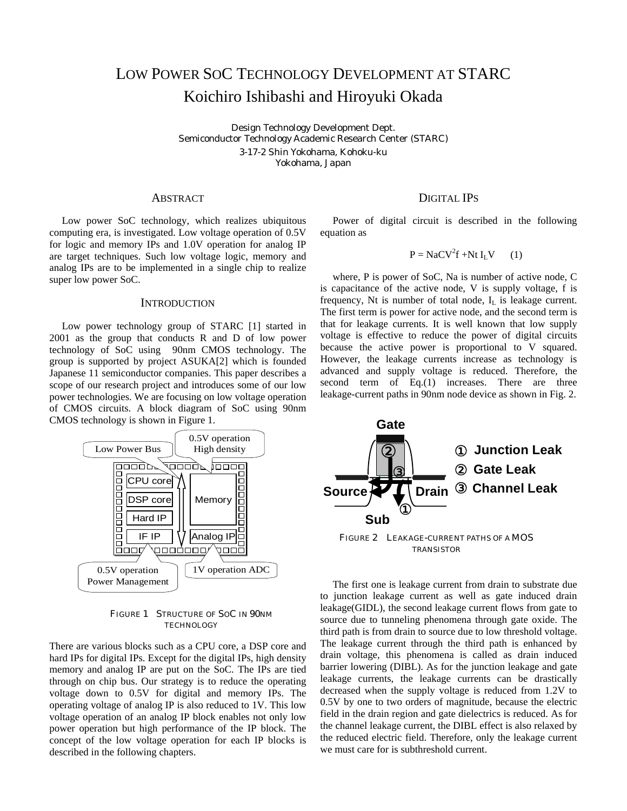# LOW POWER SOC TECHNOLOGY DEVELOPMENT AT STARC Koichiro Ishibashi and Hiroyuki Okada

Design Technology Development Dept. Semiconductor Technology Academic Research Center (STARC) 3-17-2 Shin Yokohama, Kohoku-ku Yokohama, Japan

Low power SoC technology, which realizes ubiquitous computing era, is investigated. Low voltage operation of 0.5V for logic and memory IPs and 1.0V operation for analog IP are target techniques. Such low voltage logic, memory and analog IPs are to be implemented in a single chip to realize super low power SoC.

# **INTRODUCTION**

Low power technology group of STARC [1] started in 2001 as the group that conducts R and D of low power technology of SoC using 90nm CMOS technology. The group is supported by project ASUKA[2] which is founded Japanese 11 semiconductor companies. This paper describes a scope of our research project and introduces some of our low power technologies. We are focusing on low voltage operation of CMOS circuits. A block diagram of SoC using 90nm CMOS technology is shown in Figure 1.



FIGURE 1 STRUCTURE OF SOC IN 90NM **TECHNOLOGY** 

There are various blocks such as a CPU core, a DSP core and hard IPs for digital IPs. Except for the digital IPs, high density memory and analog IP are put on the SoC. The IPs are tied through on chip bus. Our strategy is to reduce the operating voltage down to 0.5V for digital and memory IPs. The operating voltage of analog IP is also reduced to 1V. This low voltage operation of an analog IP block enables not only low power operation but high performance of the IP block. The concept of the low voltage operation for each IP blocks is described in the following chapters.

# ABSTRACT DIGITAL IPS

Power of digital circuit is described in the following equation as

$$
P = NaCV2f + Nt ILV
$$
 (1)

where, P is power of SoC, Na is number of active node, C is capacitance of the active node, V is supply voltage, f is frequency, Nt is number of total node,  $I_I$  is leakage current. The first term is power for active node, and the second term is that for leakage currents. It is well known that low supply voltage is effective to reduce the power of digital circuits because the active power is proportional to V squared. However, the leakage currents increase as technology is advanced and supply voltage is reduced. Therefore, the second term of Eq.(1) increases. There are three leakage-current paths in 90nm node device as shown in Fig. 2.



The first one is leakage current from drain to substrate due to junction leakage current as well as gate induced drain leakage(GIDL), the second leakage current flows from gate to source due to tunneling phenomena through gate oxide. The third path is from drain to source due to low threshold voltage. The leakage current through the third path is enhanced by drain voltage, this phenomena is called as drain induced barrier lowering (DIBL). As for the junction leakage and gate leakage currents, the leakage currents can be drastically decreased when the supply voltage is reduced from 1.2V to 0.5V by one to two orders of magnitude, because the electric field in the drain region and gate dielectrics is reduced. As for the channel leakage current, the DIBL effect is also relaxed by the reduced electric field. Therefore, only the leakage current we must care for is subthreshold current.